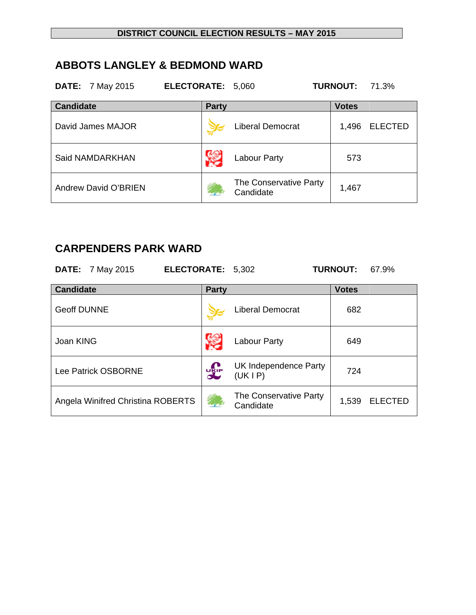## **ABBOTS LANGLEY & BEDMOND WARD**

| <b>DATE:</b> 7 May 2015     | <b>ELECTORATE:</b> | 5,060                               | <b>TURNOUT:</b> | 71.3%          |
|-----------------------------|--------------------|-------------------------------------|-----------------|----------------|
| <b>Candidate</b>            | <b>Party</b>       |                                     | <b>Votes</b>    |                |
| David James MAJOR           |                    | <b>Liberal Democrat</b>             | 1,496           | <b>ELECTED</b> |
| Said NAMDARKHAN             |                    | Labour Party                        | 573             |                |
| <b>Andrew David O'BRIEN</b> |                    | The Conservative Party<br>Candidate | 1,467           |                |

## **CARPENDERS PARK WARD**

|                    | <b>DATE:</b> 7 May 2015           | ELECTORATE: 5,302 |              |                                     | <b>TURNOUT:</b> | 67.9%          |
|--------------------|-----------------------------------|-------------------|--------------|-------------------------------------|-----------------|----------------|
| <b>Candidate</b>   |                                   |                   | <b>Party</b> |                                     | <b>Votes</b>    |                |
| <b>Geoff DUNNE</b> |                                   |                   |              | <b>Liberal Democrat</b>             | 682             |                |
| Joan KING          |                                   |                   |              | Labour Party                        | 649             |                |
|                    | Lee Patrick OSBORNE               |                   | <b>DELP</b>  | UK Independence Party<br>(UKIP)     | 724             |                |
|                    | Angela Winifred Christina ROBERTS |                   |              | The Conservative Party<br>Candidate | 1,539           | <b>ELECTED</b> |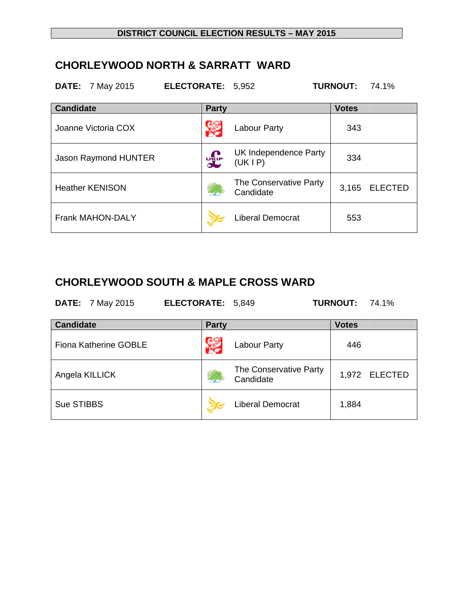#### **CHORLEYWOOD NORTH & SARRATT WARD**

| <b>DATE:</b> 7 May 2015     | ELECTORATE: 5,952 |                                     | <b>TURNOUT:</b> | 74.1%          |
|-----------------------------|-------------------|-------------------------------------|-----------------|----------------|
| <b>Candidate</b>            | <b>Party</b>      |                                     | <b>Votes</b>    |                |
| Joanne Victoria COX         |                   | Labour Party                        | 343             |                |
| <b>Jason Raymond HUNTER</b> | <b>UKIP</b>       | UK Independence Party<br>(UKIP)     | 334             |                |
| <b>Heather KENISON</b>      |                   | The Conservative Party<br>Candidate | 3,165           | <b>ELECTED</b> |
| <b>Frank MAHON-DALY</b>     |                   | <b>Liberal Democrat</b>             | 553             |                |

## **CHORLEYWOOD SOUTH & MAPLE CROSS WARD**

| <b>DATE:</b> 7 May 2015 | <b>ELECTORATE: 5,849</b> | <b>TURNOUT: 74.1%</b> |  |
|-------------------------|--------------------------|-----------------------|--|
|                         |                          |                       |  |

| <b>Candidate</b>             | <b>Party</b> |                                     | <b>Votes</b> |               |
|------------------------------|--------------|-------------------------------------|--------------|---------------|
| <b>Fiona Katherine GOBLE</b> |              | Labour Party                        | 446          |               |
| Angela KILLICK               |              | The Conservative Party<br>Candidate |              | 1,972 ELECTED |
| Sue STIBBS                   |              | <b>Liberal Democrat</b>             | 1,884        |               |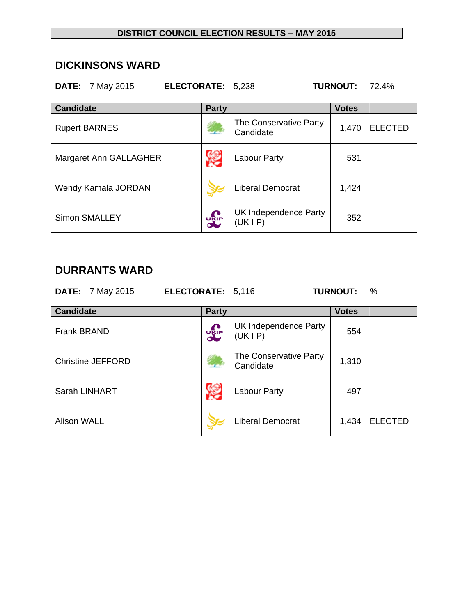#### **DICKINSONS WARD**

| <b>DATE:</b> 7 May 2015 | ELECTORATE: 5,238 |                                     | <b>TURNOUT:</b> | 72.4%          |
|-------------------------|-------------------|-------------------------------------|-----------------|----------------|
| <b>Candidate</b>        | <b>Party</b>      |                                     | <b>Votes</b>    |                |
| <b>Rupert BARNES</b>    |                   | The Conservative Party<br>Candidate | 1,470           | <b>ELECTED</b> |
| Margaret Ann GALLAGHER  |                   | <b>Labour Party</b>                 | 531             |                |
| Wendy Kamala JORDAN     |                   | <b>Liberal Democrat</b>             | 1,424           |                |
| <b>Simon SMALLEY</b>    | <b>DELP</b>       | UK Independence Party<br>(UK I P)   | 352             |                |
|                         |                   |                                     |                 |                |

## **DURRANTS WARD**

| <b>DATE:</b> 7 May 2015  | ELECTORATE: 5,116 |                                     | <b>TURNOUT:</b><br>$\%$ |
|--------------------------|-------------------|-------------------------------------|-------------------------|
| <b>Candidate</b>         | <b>Party</b>      |                                     | <b>Votes</b>            |
| <b>Frank BRAND</b>       | <b>DEP</b>        | UK Independence Party<br>(UKIP)     | 554                     |
| <b>Christine JEFFORD</b> |                   | The Conservative Party<br>Candidate | 1,310                   |
| Sarah LINHART            |                   | <b>Labour Party</b>                 | 497                     |
| <b>Alison WALL</b>       |                   | <b>Liberal Democrat</b>             | <b>ELECTED</b><br>1,434 |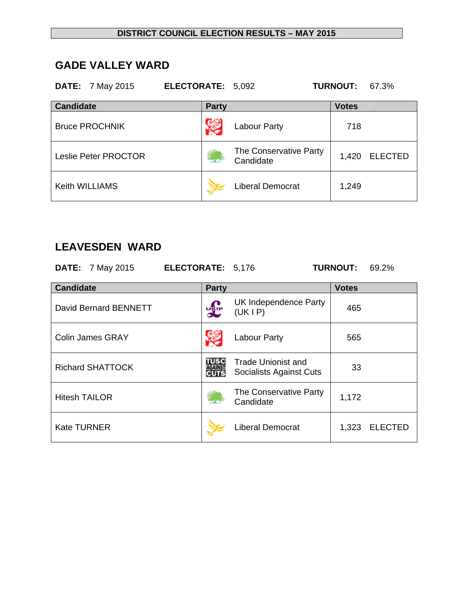#### **GADE VALLEY WARD**

| <b>DATE:</b> 7 May 2015 | ELECTORATE: 5,092 |                                     | <b>TURNOUT:</b> | 67.3%          |
|-------------------------|-------------------|-------------------------------------|-----------------|----------------|
| <b>Candidate</b>        | <b>Party</b>      |                                     | <b>Votes</b>    |                |
| <b>Bruce PROCHNIK</b>   |                   | <b>Labour Party</b>                 | 718             |                |
| Leslie Peter PROCTOR    |                   | The Conservative Party<br>Candidate | 1,420           | <b>ELECTED</b> |
| <b>Keith WILLIAMS</b>   |                   | <b>Liberal Democrat</b>             | 1,249           |                |

## **LEAVESDEN WARD**

**DATE:** 7 May 2015 **ELECTORATE:** 5,176 **TURNOUT:** 69.2%

| <b>Candidate</b>        | <b>Party</b> |                                               | <b>Votes</b> |                |
|-------------------------|--------------|-----------------------------------------------|--------------|----------------|
| David Bernard BENNETT   | <b>DEP</b>   | UK Independence Party<br>(UKIP)               | 465          |                |
| <b>Colin James GRAY</b> |              | <b>Labour Party</b>                           | 565          |                |
| <b>Richard SHATTOCK</b> | TUSC<br>CUTS | Trade Unionist and<br>Socialists Against Cuts | 33           |                |
| <b>Hitesh TAILOR</b>    |              | The Conservative Party<br>Candidate           | 1,172        |                |
| <b>Kate TURNER</b>      |              | <b>Liberal Democrat</b>                       | 1,323        | <b>ELECTED</b> |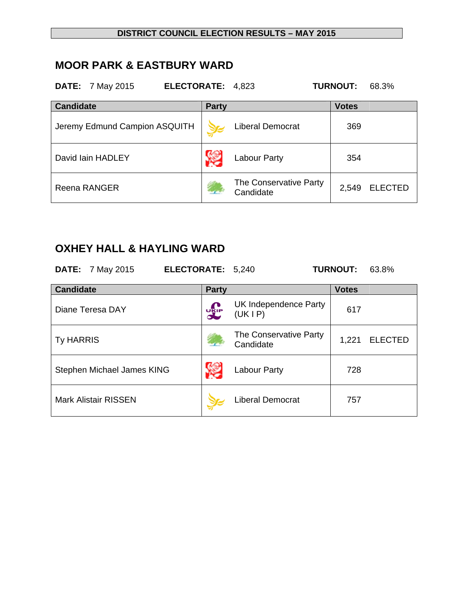#### **MOOR PARK & EASTBURY WARD**

| <b>DATE:</b> 7 May 2015<br>ELECTORATE: 4,823 |              |                                     | <b>TURNOUT:</b> | 68.3%          |
|----------------------------------------------|--------------|-------------------------------------|-----------------|----------------|
| <b>Candidate</b>                             | <b>Party</b> |                                     | <b>Votes</b>    |                |
| Jeremy Edmund Campion ASQUITH                |              | <b>Liberal Democrat</b>             | 369             |                |
| David Iain HADLEY                            |              | <b>Labour Party</b>                 | 354             |                |
| Reena RANGER                                 |              | The Conservative Party<br>Candidate | 2,549           | <b>ELECTED</b> |

# **OXHEY HALL & HAYLING WARD**

| <b>DATE:</b> 7 May 2015<br>ELECTORATE: 5,240 |              |                                     | <b>TURNOUT:</b> | 63.8%          |
|----------------------------------------------|--------------|-------------------------------------|-----------------|----------------|
| <b>Candidate</b>                             | <b>Party</b> |                                     | <b>Votes</b>    |                |
| Diane Teresa DAY                             | UKIP         | UK Independence Party<br>(UK IP)    | 617             |                |
| <b>Ty HARRIS</b>                             |              | The Conservative Party<br>Candidate | 1,221           | <b>ELECTED</b> |
| Stephen Michael James KING                   |              | Labour Party                        | 728             |                |
| <b>Mark Alistair RISSEN</b>                  |              | <b>Liberal Democrat</b>             | 757             |                |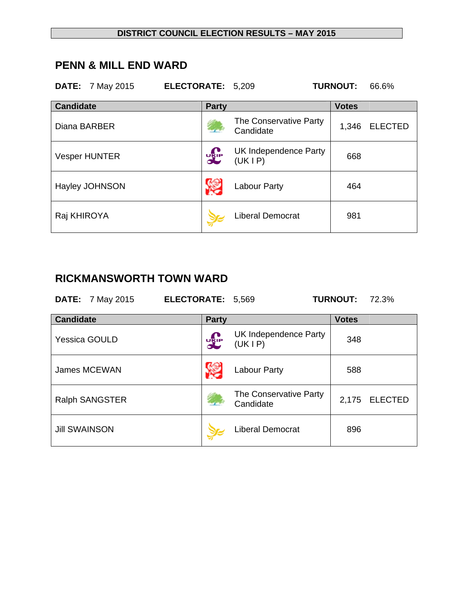#### **PENN & MILL END WARD**

|                  | <b>DATE:</b> 7 May 2015 | ELECTORATE: 5,209 |                                     | <b>TURNOUT:</b> | 66.6%          |
|------------------|-------------------------|-------------------|-------------------------------------|-----------------|----------------|
| <b>Candidate</b> |                         | <b>Party</b>      |                                     | <b>Votes</b>    |                |
| Diana BARBER     |                         |                   | The Conservative Party<br>Candidate | 1,346           | <b>ELECTED</b> |
|                  | <b>Vesper HUNTER</b>    | <b>DELP</b>       | UK Independence Party<br>(UK I P)   | 668             |                |
|                  | <b>Hayley JOHNSON</b>   |                   | Labour Party                        | 464             |                |
| Raj KHIROYA      |                         |                   | <b>Liberal Democrat</b>             | 981             |                |

## **RICKMANSWORTH TOWN WARD**

| <b>DATE:</b> 7 May 2015 | ELECTORATE: 5,569 | <b>TURNOUT: 72.3%</b> |
|-------------------------|-------------------|-----------------------|
| <b>Candidate</b>        | <b>Party</b>      | <b>Votes</b>          |

| Candidate             | Party       |                                     | <b>Votes</b> |                |
|-----------------------|-------------|-------------------------------------|--------------|----------------|
| <b>Yessica GOULD</b>  | <b>UKIP</b> | UK Independence Party<br>(UK I P)   | 348          |                |
| James MCEWAN          |             | Labour Party                        | 588          |                |
| <b>Ralph SANGSTER</b> |             | The Conservative Party<br>Candidate | 2,175        | <b>ELECTED</b> |
| <b>Jill SWAINSON</b>  |             | <b>Liberal Democrat</b>             | 896          |                |